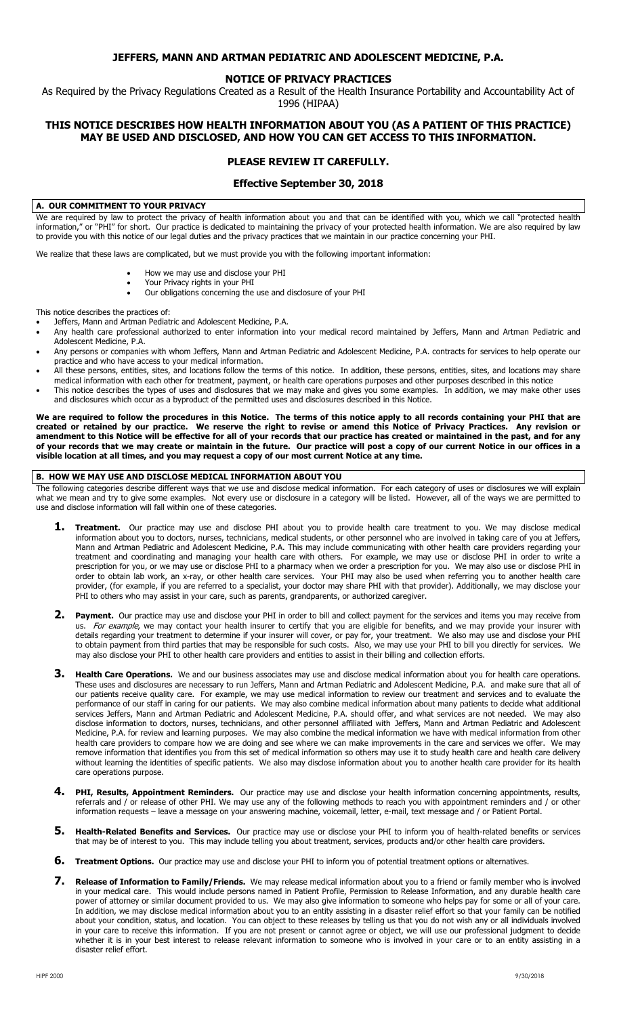# **JEFFERS, MANN AND ARTMAN PEDIATRIC AND ADOLESCENT MEDICINE, P.A.**

# **NOTICE OF PRIVACY PRACTICES**

As Required by the Privacy Regulations Created as a Result of the Health Insurance Portability and Accountability Act of

# 1996 (HIPAA)

# **THIS NOTICE DESCRIBES HOW HEALTH INFORMATION ABOUT YOU (AS A PATIENT OF THIS PRACTICE) MAY BE USED AND DISCLOSED, AND HOW YOU CAN GET ACCESS TO THIS INFORMATION.**

# **PLEASE REVIEW IT CAREFULLY.**

# **Effective September 30, 2018**

### **A. OUR COMMITMENT TO YOUR PRIVACY**

We are required by law to protect the privacy of health information about you and that can be identified with you, which we call "protected health information," or "PHI" for short. Our practice is dedicated to maintaining the privacy of your protected health information. We are also required by law to provide you with this notice of our legal duties and the privacy practices that we maintain in our practice concerning your PHI.

We realize that these laws are complicated, but we must provide you with the following important information:

- How we may use and disclose your PHI
- Your Privacy rights in your PHI
- Our obligations concerning the use and disclosure of your PHI

This notice describes the practices of:

- Jeffers, Mann and Artman Pediatric and Adolescent Medicine, P.A.
- Any health care professional authorized to enter information into your medical record maintained by Jeffers, Mann and Artman Pediatric and Adolescent Medicine, P.A.
- Any persons or companies with whom Jeffers, Mann and Artman Pediatric and Adolescent Medicine, P.A. contracts for services to help operate our practice and who have access to your medical information.
- All these persons, entities, sites, and locations follow the terms of this notice. In addition, these persons, entities, sites, and locations may share medical information with each other for treatment, payment, or health care operations purposes and other purposes described in this notice
- This notice describes the types of uses and disclosures that we may make and gives you some examples. In addition, we may make other uses and disclosures which occur as a byproduct of the permitted uses and disclosures described in this Notice.

We are required to follow the procedures in this Notice. The terms of this notice apply to all records containing your PHI that are *created or retained by our practice*. We reserve the right to revise or amend this Notice created or retained by our practice. We reserve the right to revise or amend this Notice of Privacy Practices. **amendment to this Notice will be effective for all of your records that our practice has created or maintained in the past, and for any of your records that we may create or maintain in the future. Our practice will post a copy of our current Notice in our offices in a visible location at all times, and you may request a copy of our most current Notice at any time.** 

#### **B. HOW WE MAY USE AND DISCLOSE MEDICAL INFORMATION ABOUT YOU**

The following categories describe different ways that we use and disclose medical information. For each category of uses or disclosures we will explain what we mean and try to give some examples. Not every use or disclosure in a category will be listed. However, all of the ways we are permitted to use and disclose information will fall within one of these categories.

- **1. Treatment.** Our practice may use and disclose PHI about you to provide health care treatment to you. We may disclose medical information about you to doctors, nurses, technicians, medical students, or other personnel who are involved in taking care of you at Jeffers, Mann and Artman Pediatric and Adolescent Medicine, P.A. This may include communicating with other health care providers regarding your treatment and coordinating and managing your health care with others. For example, we may use or disclose PHI in order to write a prescription for you, or we may use or disclose PHI to a pharmacy when we order a prescription for you. We may also use or disclose PHI in order to obtain lab work, an x-ray, or other health care services. Your PHI may also be used when referring you to another health care provider, (for example, if you are referred to a specialist, your doctor may share PHI with that provider). Additionally, we may disclose your PHI to others who may assist in your care, such as parents, grandparents, or authorized caregiver.
- 2. Payment. Our practice may use and disclose your PHI in order to bill and collect payment for the services and items you may receive from us. For example, we may contact your health insurer to certify that you are eligible for benefits, and we may provide your insurer with details regarding your treatment to determine if your insurer will cover, or pay for, your treatment. We also may use and disclose your PHI to obtain payment from third parties that may be responsible for such costs. Also, we may use your PHI to bill you directly for services. We may also disclose your PHI to other health care providers and entities to assist in their billing and collection efforts.
- **3. Health Care Operations.** We and our business associates may use and disclose medical information about you for health care operations. These uses and disclosures are necessary to run Jeffers, Mann and Artman Pediatric and Adolescent Medicine, P.A. and make sure that all of our patients receive quality care. For example, we may use medical information to review our treatment and services and to evaluate the performance of our staff in caring for our patients. We may also combine medical information about many patients to decide what additional services Jeffers, Mann and Artman Pediatric and Adolescent Medicine, P.A. should offer, and what services are not needed. We may also disclose information to doctors, nurses, technicians, and other personnel affiliated with Jeffers, Mann and Artman Pediatric and Adolescent Medicine, P.A. for review and learning purposes. We may also combine the medical information we have with medical information from other health care providers to compare how we are doing and see where we can make improvements in the care and services we offer. We may remove information that identifies you from this set of medical information so others may use it to study health care and health care delivery without learning the identities of specific patients. We also may disclose information about you to another health care provider for its health care operations purpose.
- **4. PHI, Results, Appointment Reminders.** Our practice may use and disclose your health information concerning appointments, results, referrals and / or release of other PHI. We may use any of the following methods to reach you with appointment reminders and / or other information requests – leave a message on your answering machine, voicemail, letter, e-mail, text message and / or Patient Portal.
- **5. Health-Related Benefits and Services.** Our practice may use or disclose your PHI to inform you of health-related benefits or services that may be of interest to you. This may include telling you about treatment, services, products and/or other health care providers.
- **6. Treatment Options.** Our practice may use and disclose your PHI to inform you of potential treatment options or alternatives.
- **7. Release of Information to Family/Friends.** We may release medical information about you to a friend or family member who is involved in your medical care. This would include persons named in Patient Profile, Permission to Release Information, and any durable health care power of attorney or similar document provided to us. We may also give information to someone who helps pay for some or all of your care. In addition, we may disclose medical information about you to an entity assisting in a disaster relief effort so that your family can be notified about your condition, status, and location. You can object to these releases by telling us that you do not wish any or all individuals involved in your care to receive this information. If you are not present or cannot agree or object, we will use our professional judgment to decide whether it is in your best interest to release relevant information to someone who is involved in your care or to an entity assisting in a disaster relief effort.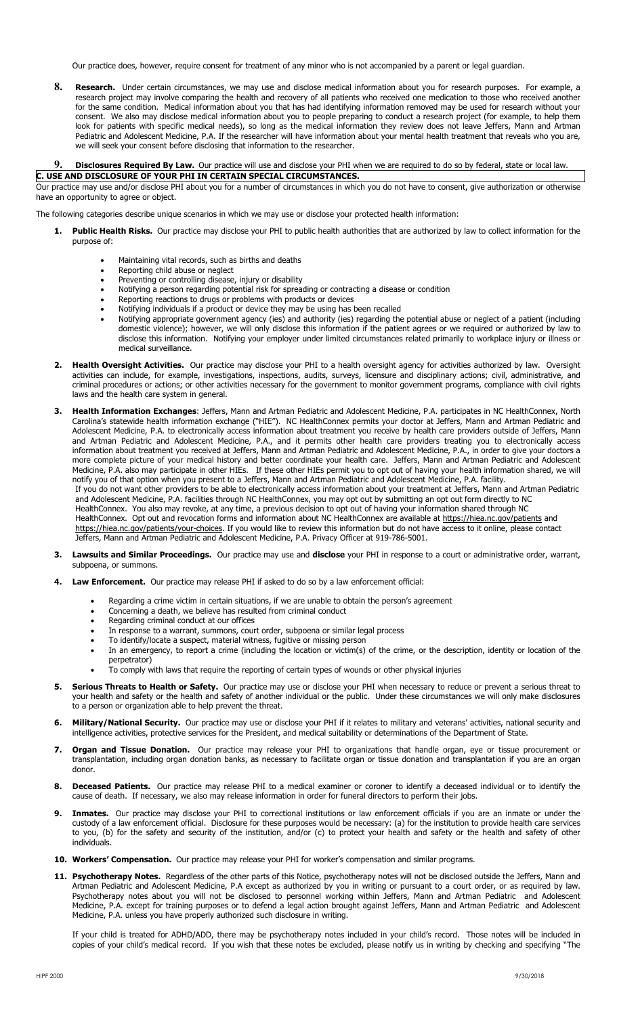Our practice does, however, require consent for treatment of any minor who is not accompanied by a parent or legal guardian.

**8. Research.** Under certain circumstances, we may use and disclose medical information about you for research purposes. For example, a research project may involve comparing the health and recovery of all patients who received one medication to those who received another for the same condition. Medical information about you that has had identifying information removed may be used for research without your consent. We also may disclose medical information about you to people preparing to conduct a research project (for example, to help them look for patients with specific medical needs), so long as the medical information they review does not leave Jeffers, Mann and Artman Pediatric and Adolescent Medicine, P.A. If the researcher will have information about your mental health treatment that reveals who you are, we will seek your consent before disclosing that information to the researcher.

#### 9. **Disclosures Required By Law.** Our practice will use and disclose your PHI when we are required to do so by federal, state or local law. **C. USE AND DISCLOSURE OF YOUR PHI IN CERTAIN SPECIAL CIRCUMSTANCES.**

Our practice may use and/or disclose PHI about you for a number of circumstances in which you do not have to consent, give authorization or otherwise have an opportunity to agree or object.

The following categories describe unique scenarios in which we may use or disclose your protected health information:

- **1. Public Health Risks.** Our practice may disclose your PHI to public health authorities that are authorized by law to collect information for the purpose of:
	- Maintaining vital records, such as births and deaths
	- Reporting child abuse or neglect
	- Preventing or controlling disease, injury or disability • Notifying a person regarding potential risk for spreading or contracting a disease or condition
	- Reporting reactions to drugs or problems with products or devices
	- Notifying individuals if a product or device they may be using has been recalled
	- Notifying appropriate government agency (ies) and authority (ies) regarding the potential abuse or neglect of a patient (including domestic violence); however, we will only disclose this information if the patient agrees or we required or authorized by law to disclose this information. Notifying your employer under limited circumstances related primarily to workplace injury or illness or medical surveillance.
- **2. Health Oversight Activities.** Our practice may disclose your PHI to a health oversight agency for activities authorized by law. Oversight activities can include, for example, investigations, inspections, audits, surveys, licensure and disciplinary actions; civil, administrative, and criminal procedures or actions; or other activities necessary for the government to monitor government programs, compliance with civil rights laws and the health care system in general.
- **3. Health Information Exchanges**: Jeffers, Mann and Artman Pediatric and Adolescent Medicine, P.A. participates in NC HealthConnex, North Carolina's statewide health information exchange ("HIE"). NC HealthConnex permits your doctor at Jeffers, Mann and Artman Pediatric and Adolescent Medicine, P.A. to electronically access information about treatment you receive by health care providers outside of Jeffers, Mann and Artman Pediatric and Adolescent Medicine, P.A., and it permits other health care providers treating you to electronically access information about treatment you received at Jeffers, Mann and Artman Pediatric and Adolescent Medicine, P.A., in order to give your doctors a more complete picture of your medical history and better coordinate your health care. Jeffers, Mann and Artman Pediatric and Adolescent Medicine, P.A. also may participate in other HIEs. If these other HIEs permit you to opt out of having your health information shared, we will notify you of that option when you present to a Jeffers, Mann and Artman Pediatric and Adolescent Medicine, P.A. facility. If you do not want other providers to be able to electronically access information about your treatment at Jeffers, Mann and Artman Pediatric and Adolescent Medicine, P.A. facilities through NC HealthConnex, you may opt out by submitting an opt out form directly to NC

HealthConnex. You also may revoke, at any time, a previous decision to opt out of having your information shared through NC HealthConnex. Opt out and revocation forms and information about NC HealthConnex are available at https://hiea.nc.gov/patients and https://hiea.nc.gov/patients/your-choices. If you would like to review this information but do not have access to it online, please contact Jeffers, Mann and Artman Pediatric and Adolescent Medicine, P.A. Privacy Officer at 919-786-5001.

- **3. Lawsuits and Similar Proceedings.** Our practice may use and **disclose** your PHI in response to a court or administrative order, warrant, subpoena, or summons.
- **4. Law Enforcement.** Our practice may release PHI if asked to do so by a law enforcement official:
	- Regarding a crime victim in certain situations, if we are unable to obtain the person's agreement
	- Concerning a death, we believe has resulted from criminal conduct
	- Regarding criminal conduct at our offices
	- In response to a warrant, summons, court order, subpoena or similar legal process
	- To identify/locate a suspect, material witness, fugitive or missing person
	- In an emergency, to report a crime (including the location or victim(s) of the crime, or the description, identity or location of the perpetrator)
	- To comply with laws that require the reporting of certain types of wounds or other physical injuries
- **5. Serious Threats to Health or Safety.** Our practice may use or disclose your PHI when necessary to reduce or prevent a serious threat to your health and safety or the health and safety of another individual or the public. Under these circumstances we will only make disclosures to a person or organization able to help prevent the threat.
- **6. Military/National Security.** Our practice may use or disclose your PHI if it relates to military and veterans' activities, national security and intelligence activities, protective services for the President, and medical suitability or determinations of the Department of State.
- **7. Organ and Tissue Donation.** Our practice may release your PHI to organizations that handle organ, eye or tissue procurement or transplantation, including organ donation banks, as necessary to facilitate organ or tissue donation and transplantation if you are an organ donor.
- **8. Deceased Patients.** Our practice may release PHI to a medical examiner or coroner to identify a deceased individual or to identify the cause of death. If necessary, we also may release information in order for funeral directors to perform their jobs.
- **9. Inmates.** Our practice may disclose your PHI to correctional institutions or law enforcement officials if you are an inmate or under the custody of a law enforcement official. Disclosure for these purposes would be necessary: (a) for the institution to provide health care services to you, (b) for the safety and security of the institution, and/or (c) to protect your health and safety or the health and safety of other individuals.
- **10. Workers' Compensation.** Our practice may release your PHI for worker's compensation and similar programs.
- 11. Psychotherapy Notes. Regardless of the other parts of this Notice, psychotherapy notes will not be disclosed outside the Jeffers, Mann and Artman Pediatric and Adolescent Medicine, P.A except as authorized by you in writing or pursuant to a court order, or as required by law. Psychotherapy notes about you will not be disclosed to personnel working within Jeffers, Mann and Artman Pediatric and Adolescent Medicine, P.A. except for training purposes or to defend a legal action brought against Jeffers, Mann and Artman Pediatric and Adolescent Medicine, P.A. unless you have properly authorized such disclosure in writing.

If your child is treated for ADHD/ADD, there may be psychotherapy notes included in your child's record. Those notes will be included in copies of your child's medical record. If you wish that these notes be excluded, please notify us in writing by checking and specifying "The